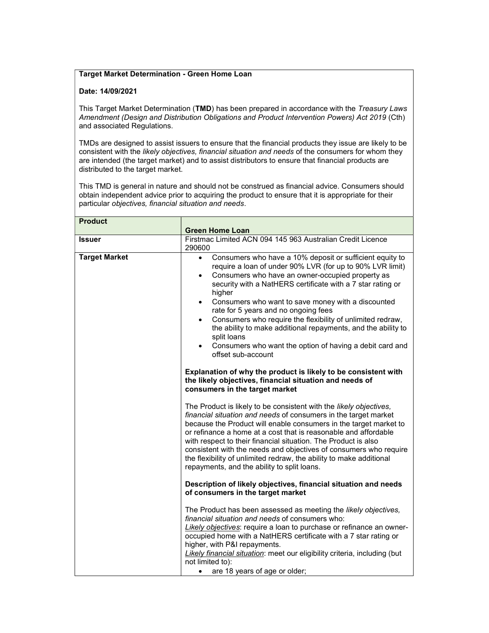## Target Market Determination - Green Home Loan

## Date: 14/09/2021

This Target Market Determination (TMD) has been prepared in accordance with the Treasury Laws Amendment (Design and Distribution Obligations and Product Intervention Powers) Act 2019 (Cth) and associated Regulations.

TMDs are designed to assist issuers to ensure that the financial products they issue are likely to be consistent with the likely objectives, financial situation and needs of the consumers for whom they are intended (the target market) and to assist distributors to ensure that financial products are distributed to the target market.

This TMD is general in nature and should not be construed as financial advice. Consumers should obtain independent advice prior to acquiring the product to ensure that it is appropriate for their particular objectives, financial situation and needs.

| <b>Product</b>       | <b>Green Home Loan</b>                                                                                                                                                                                                                                                                                                                                                                                                                                                                                                                                                                                                               |
|----------------------|--------------------------------------------------------------------------------------------------------------------------------------------------------------------------------------------------------------------------------------------------------------------------------------------------------------------------------------------------------------------------------------------------------------------------------------------------------------------------------------------------------------------------------------------------------------------------------------------------------------------------------------|
| <b>Issuer</b>        | Firstmac Limited ACN 094 145 963 Australian Credit Licence<br>290600                                                                                                                                                                                                                                                                                                                                                                                                                                                                                                                                                                 |
| <b>Target Market</b> | Consumers who have a 10% deposit or sufficient equity to<br>$\bullet$<br>require a loan of under 90% LVR (for up to 90% LVR limit)<br>Consumers who have an owner-occupied property as<br>$\bullet$<br>security with a NatHERS certificate with a 7 star rating or<br>higher<br>Consumers who want to save money with a discounted<br>$\bullet$<br>rate for 5 years and no ongoing fees<br>Consumers who require the flexibility of unlimited redraw,<br>$\bullet$<br>the ability to make additional repayments, and the ability to<br>split loans<br>Consumers who want the option of having a debit card and<br>offset sub-account |
|                      | Explanation of why the product is likely to be consistent with<br>the likely objectives, financial situation and needs of<br>consumers in the target market                                                                                                                                                                                                                                                                                                                                                                                                                                                                          |
|                      | The Product is likely to be consistent with the likely objectives,<br>financial situation and needs of consumers in the target market<br>because the Product will enable consumers in the target market to<br>or refinance a home at a cost that is reasonable and affordable<br>with respect to their financial situation. The Product is also<br>consistent with the needs and objectives of consumers who require<br>the flexibility of unlimited redraw, the ability to make additional<br>repayments, and the ability to split loans.                                                                                           |
|                      | Description of likely objectives, financial situation and needs<br>of consumers in the target market                                                                                                                                                                                                                                                                                                                                                                                                                                                                                                                                 |
|                      | The Product has been assessed as meeting the likely objectives,<br>financial situation and needs of consumers who:<br>Likely objectives: require a loan to purchase or refinance an owner-<br>occupied home with a NatHERS certificate with a 7 star rating or<br>higher, with P&I repayments.<br>Likely financial situation: meet our eligibility criteria, including (but<br>not limited to):<br>are 18 years of age or older;                                                                                                                                                                                                     |